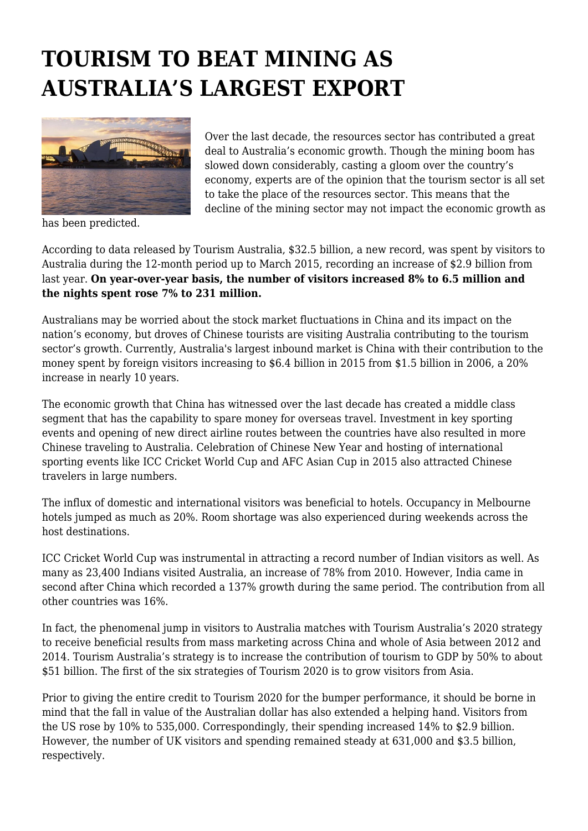## **TOURISM TO BEAT MINING AS AUSTRALIA'S LARGEST EXPORT**



Over the last decade, the resources sector has contributed a great deal to Australia's economic growth. Though the mining boom has slowed down considerably, casting a gloom over the country's economy, experts are of the opinion that the tourism sector is all set to take the place of the resources sector. This means that the decline of the mining sector may not impact the economic growth as

has been predicted.

According to data released by Tourism Australia, \$32.5 billion, a new record, was spent by visitors to Australia during the 12-month period up to March 2015, recording an increase of \$2.9 billion from last year. **On year-over-year basis, the number of visitors increased 8% to 6.5 million and the nights spent rose 7% to 231 million.**

Australians may be worried about the stock market fluctuations in China and its impact on the nation's economy, but droves of Chinese tourists are visiting Australia contributing to the tourism sector's growth. Currently, Australia's largest inbound market is China with their contribution to the money spent by foreign visitors increasing to \$6.4 billion in 2015 from \$1.5 billion in 2006, a 20% increase in nearly 10 years.

The economic growth that China has witnessed over the last decade has created a middle class segment that has the capability to spare money for overseas travel. Investment in key sporting events and opening of new direct airline routes between the countries have also resulted in more Chinese traveling to Australia. Celebration of Chinese New Year and hosting of international sporting events like ICC Cricket World Cup and AFC Asian Cup in 2015 also attracted Chinese travelers in large numbers.

The influx of domestic and international visitors was beneficial to hotels. Occupancy in Melbourne hotels jumped as much as 20%. Room shortage was also experienced during weekends across the host destinations.

ICC Cricket World Cup was instrumental in attracting a record number of Indian visitors as well. As many as 23,400 Indians visited Australia, an increase of 78% from 2010. However, India came in second after China which recorded a 137% growth during the same period. The contribution from all other countries was 16%.

In fact, the phenomenal jump in visitors to Australia matches with Tourism Australia's 2020 strategy to receive beneficial results from mass marketing across China and whole of Asia between 2012 and 2014. Tourism Australia's strategy is to increase the contribution of tourism to GDP by 50% to about \$51 billion. The first of the six strategies of Tourism 2020 is to grow visitors from Asia.

Prior to giving the entire credit to Tourism 2020 for the bumper performance, it should be borne in mind that the fall in value of the Australian dollar has also extended a helping hand. Visitors from the US rose by 10% to 535,000. Correspondingly, their spending increased 14% to \$2.9 billion. However, the number of UK visitors and spending remained steady at 631,000 and \$3.5 billion, respectively.